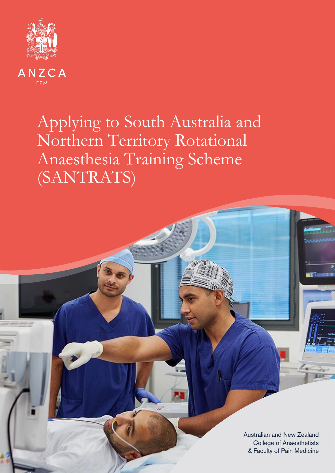

ANZCA **FPM** 

# Applying to South Australia and Northern Territory Rotational Anaesthesia Training Scheme (SANTRATS)

& Faculty of Pain Medicine Australian and New Zealand College of Anaesthetists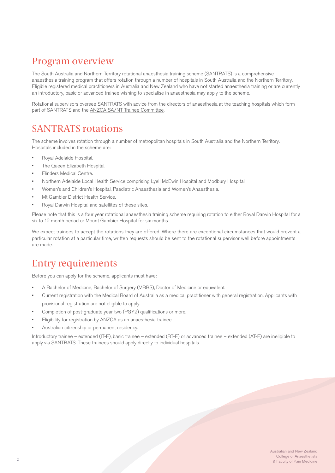### Program overview

The South Australia and Northern Territory rotational anaesthesia training scheme (SANTRATS) is a comprehensive anaesthesia training program that offers rotation through a number of hospitals in South Australia and the Northern Territory. Eligible registered medical practitioners in Australia and New Zealand who have not started anaesthesia training or are currently an introductory, basic or advanced trainee wishing to specialise in anaesthesia may apply to the scheme.

Rotational supervisors oversee SANTRATS with advice from the directors of anaesthesia at the teaching hospitals which form part of SANTRATS and the [ANZCA SA/NT Trainee Committee](https://www.anzca.edu.au/about-us/our-people-and-structure/anzca-council/committees-of-the-anzca-council-(1)/national-and-regional-committees-(1)/anzca-sa-nt-regional-committee/anzca-sa-nt-regional-training-committee).

#### SANTRATS rotations

The scheme involves rotation through a number of metropolitan hospitals in South Australia and the Northern Territory. Hospitals included in the scheme are:

- Royal Adelaide Hospital.
- The Queen Elizabeth Hospital.
- Flinders Medical Centre.
- Northern Adelaide Local Health Service comprising Lyell McEwin Hospital and Modbury Hospital.
- Women's and Children's Hospital, Paediatric Anaesthesia and Women's Anaesthesia.
- Mt Gambier District Health Service.
- Royal Darwin Hospital and satellites of these sites.

Please note that this is a four year rotational anaesthesia training scheme requiring rotation to either Royal Darwin Hospital for a six to 12 month period or Mount Gambier Hospital for six months.

We expect trainees to accept the rotations they are offered. Where there are exceptional circumstances that would prevent a particular rotation at a particular time, written requests should be sent to the rotational supervisor well before appointments are made.

### Entry requirements

Before you can apply for the scheme, applicants must have:

- A Bachelor of Medicine, Bachelor of Surgery (MBBS), Doctor of Medicine or equivalent.
- Current registration with the Medical Board of Australia as a medical practitioner with general registration. Applicants with provisional registration are not eligible to apply.
- Completion of post-graduate year two (PGY2) qualifications or more.
- Eligibility for registration by ANZCA as an anaesthesia trainee.
- Australian citizenship or permanent residency.

Introductory trainee – extended (IT-E), basic trainee – extended (BT-E) or advanced trainee – extended (AT-E) are ineligible to apply via SANTRATS. These trainees should apply directly to individual hospitals.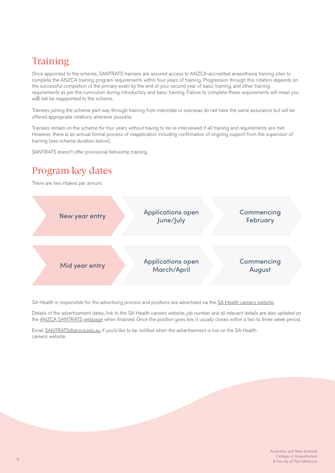## **Training**

Once appointed to the scheme, SANTRATS trainees are assured access to ANZCA-accredited anaesthesia training sites to complete the ANZCA training program requirements within four years of training. Progression through this rotation depends on the successful completion of the primary exam by the end of your second year of basic training, and other training requirements as per the curriculum during introductory and basic training. Failure to complete these requirements will mean you will not be reappointed to the scheme.

Trainees joining the scheme part-way through training from interstate or overseas do not have the same assurance but will be offered appropriate rotations wherever possible.

Trainees remain on the scheme for four years without having to be re-interviewed if all training and requirements are met. However, there is an annual formal process of reapplication including confirmation of ongoing support from the supervisor of training (see scheme duration below).

SANTRATS doesn't offer provisional fellowship training.

### Program key dates

There are two intakes per annum:



SA Health is responsible for the advertising process and positions are advertised via the [SA Health careers website](https://www.sahealth.sa.gov.au/wps/wcm/connect/public+content/sa+health+internet/careers).

Details of the advertisement dates, link to the SA Health careers website, job number and all relevant details are also updated on the [ANZCA SANTRATS webpage](https://www.anzca.edu.au/education-training/anaesthesia-training-program/training-as-an-anaesthetist) when finalised. Once the position goes live, it usually closes within a two to three week period.

Email [SANTRATS@anzca.edu.au](mailto:mailto:SANTRATS%40anzca.edu.au?subject=) if you'd like to be notified when the advertisement is live on the SA Health careers website.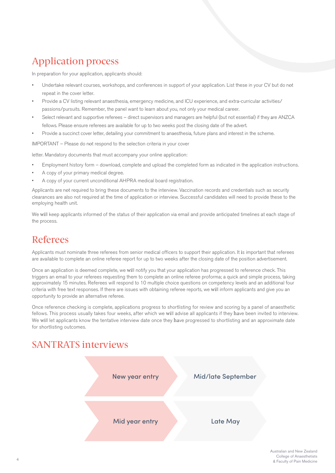## Application process

In preparation for your application, applicants should:

- Undertake relevant courses, workshops, and conferences in support of your application. List these in your CV but do not repeat in the cover letter.
- Provide a CV listing relevant anaesthesia, emergency medicine, and ICU experience, and extra-curricular activities/ passions/pursuits. Remember, the panel want to learn about you, not only your medical career.
- Select relevant and supportive referees direct supervisors and managers are helpful (but not essential) if they are ANZCA fellows. Please ensure referees are available for up to two weeks post the closing date of the advert.
- Provide a succinct cover letter, detailing your commitment to anaesthesia, future plans and interest in the scheme.

IMPORTANT – Please do not respond to the selection criteria in your cover

letter. Mandatory documents that must accompany your online application:

- Employment history form download, complete and upload the completed form as indicated in the application instructions.
- A copy of your primary medical degree.
- A copy of your current unconditional AHPRA medical board registration.

Applicants are not required to bring these documents to the interview. Vaccination records and credentials such as security clearances are also not required at the time of application or interview. Successful candidates will need to provide these to the employing health unit.

We will keep applicants informed of the status of their application via email and provide anticipated timelines at each stage of the process.

### Referees

Applicants must nominate three referees from senior medical officers to support their application. It is important that referees are available to complete an online referee report for up to two weeks after the closing date of the position advertisement.

Once an application is deemed complete, we will notify you that your application has progressed to reference check. This triggers an email to your referees requesting them to complete an online referee proforma; a quick and simple process, taking approximately 15 minutes. Referees will respond to 10 multiple choice questions on competency levels and an additional four criteria with free text responses. If there are issues with obtaining referee reports, we will inform applicants and give you an opportunity to provide an alternative referee.

Once reference checking is complete, applications progress to shortlisting for review and scoring by a panel of anaesthetic fellows. This process usually takes four weeks, after which we will advise all applicants if they have been invited to interview. We will let applicants know the tentative interview date once they have progressed to shortlisting and an approximate date for shortlisting outcomes.

#### SANTRATS interviews